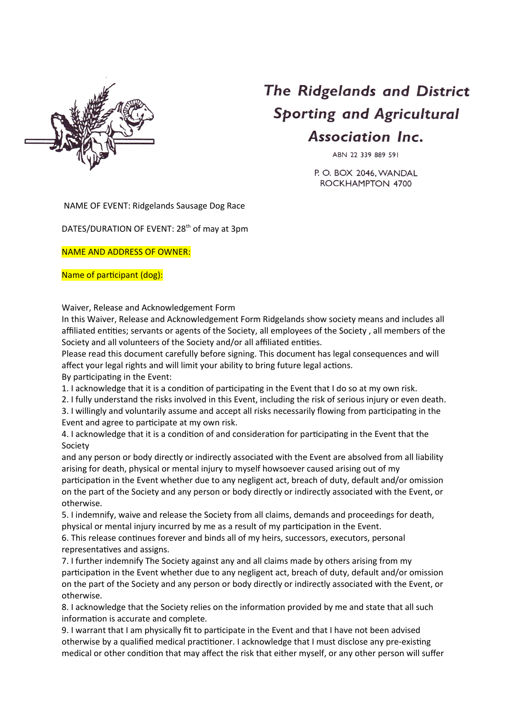

## The Ridgelands and District **Sporting and Agricultural Association Inc.**

ABN 22 339 889 591

P.O. BOX 2046, WANDAL ROCKHAMPTON 4700

NAME OF EVENT: Ridgelands Sausage Dog Race

DATES/DURATION OF EVENT: 28<sup>th</sup> of may at 3pm

NAME AND ADDRESS OF OWNER:

## Name of participant (dog):

Waiver, Release and Acknowledgement Form

In this Waiver, Release and Acknowledgement Form Ridgelands show society means and includes all affiliated entities; servants or agents of the Society, all employees of the Society , all members of the Society and all volunteers of the Society and/or all affiliated entities.

Please read this document carefully before signing. This document has legal consequences and will affect your legal rights and will limit your ability to bring future legal actions. By participating in the Event:

1. I acknowledge that it is a condition of participating in the Event that I do so at my own risk.

2. I fully understand the risks involved in this Event, including the risk of serious injury or even death.

3. I willingly and voluntarily assume and accept all risks necessarily flowing from participating in the Event and agree to participate at my own risk.

4. I acknowledge that it is a condition of and consideration for participating in the Event that the Society

and any person or body directly or indirectly associated with the Event are absolved from all liability arising for death, physical or mental injury to myself howsoever caused arising out of my participation in the Event whether due to any negligent act, breach of duty, default and/or omission on the part of the Society and any person or body directly or indirectly associated with the Event, or otherwise.

5. I indemnify, waive and release the Society from all claims, demands and proceedings for death, physical or mental injury incurred by me as a result of my participation in the Event.

6. This release continues forever and binds all of my heirs, successors, executors, personal representatives and assigns.

7. I further indemnify The Society against any and all claims made by others arising from my participation in the Event whether due to any negligent act, breach of duty, default and/or omission on the part of the Society and any person or body directly or indirectly associated with the Event, or otherwise.

8. I acknowledge that the Society relies on the information provided by me and state that all such information is accurate and complete.

9. I warrant that I am physically fit to participate in the Event and that I have not been advised otherwise by a qualified medical practitioner. I acknowledge that I must disclose any pre-existing medical or other condition that may affect the risk that either myself, or any other person will suffer